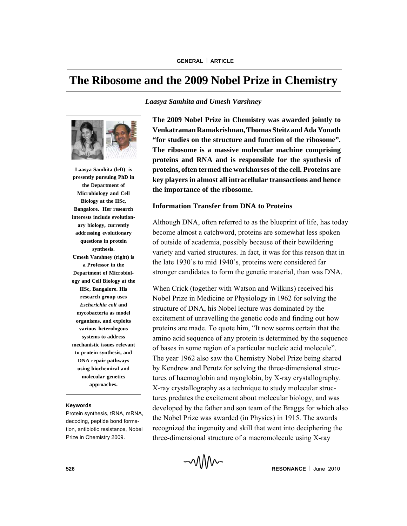# **The Ribosome and the 2009 Nobel Prize in Chemistry**

#### *Laasya Samhita and Umesh Varshney*



**Laasya Samhita (left) is presently pursuing PhD in the Department of Microbiology and Cell Biology at the IISc, Bangalore. Her research interests include evolutionary biology, currently addressing evolutionary questions in protein synthesis. Umesh Varshney (right) is a Professor in the Department of Microbiology and Cell Biology at the IISc, Bangalore. His research group uses** *Escherichia coli* **and mycobacteria as model organisms, and exploits various heterologous systems to address mechanistic issues relevant to protein synthesis, and DNA repair pathways using biochemical and molecular genetics approaches.**

#### **Keywords**

Protein synthesis, tRNA, mRNA, decoding, peptide bond formation, antibiotic resistance, Nobel Prize in Chemistry 2009.

**The 2009 Nobel Prize in Chemistry was awarded jointly to Venkatraman Ramakrishnan, Thomas Steitz and Ada Yonath "for studies on the structure and function of the ribosome". The ribosome is a massive molecular machine comprising proteins and RNA and is responsible for the synthesis of proteins, often termed the workhorses of the cell. Proteins are key players in almost all intracellular transactions and hence the importance of the ribosome.**

## **Information Transfer from DNA to Proteins**

Although DNA, often referred to as the blueprint of life, has today become almost a catchword, proteins are somewhat less spoken of outside of academia, possibly because of their bewildering variety and varied structures. In fact, it was for this reason that in the late 1930's to mid 1940's, proteins were considered far stronger candidates to form the genetic material, than was DNA.

When Crick (together with Watson and Wilkins) received his Nobel Prize in Medicine or Physiology in 1962 for solving the structure of DNA, his Nobel lecture was dominated by the excitement of unravelling the genetic code and finding out how proteins are made. To quote him, "It now seems certain that the amino acid sequence of any protein is determined by the sequence of bases in some region of a particular nucleic acid molecule". The year 1962 also saw the Chemistry Nobel Prize being shared by Kendrew and Perutz for solving the three-dimensional structures of haemoglobin and myoglobin, by X-ray crystallography. X-ray crystallography as a technique to study molecular structures predates the excitement about molecular biology, and was developed by the father and son team of the Braggs for which also the Nobel Prize was awarded (in Physics) in 1915. The awards recognized the ingenuity and skill that went into deciphering the three-dimensional structure of a macromolecule using X-ray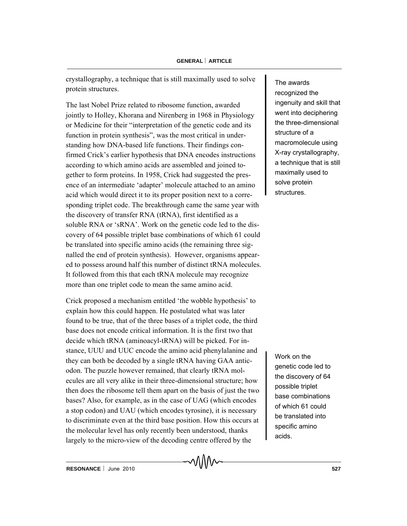crystallography, a technique that is still maximally used to solve protein structures.

The last Nobel Prize related to ribosome function, awarded jointly to Holley, Khorana and Nirenberg in 1968 in Physiology or Medicine for their "interpretation of the genetic code and its function in protein synthesis", was the most critical in understanding how DNA-based life functions. Their findings confirmed Crick's earlier hypothesis that DNA encodes instructions according to which amino acids are assembled and joined together to form proteins. In 1958, Crick had suggested the presence of an intermediate 'adapter' molecule attached to an amino acid which would direct it to its proper position next to a corresponding triplet code. The breakthrough came the same year with the discovery of transfer RNA (tRNA), first identified as a soluble RNA or 'sRNA'. Work on the genetic code led to the discovery of 64 possible triplet base combinations of which 61 could be translated into specific amino acids (the remaining three signalled the end of protein synthesis). However, organisms appeared to possess around half this number of distinct tRNA molecules. It followed from this that each tRNA molecule may recognize more than one triplet code to mean the same amino acid.

Crick proposed a mechanism entitled 'the wobble hypothesis' to explain how this could happen. He postulated what was later found to be true, that of the three bases of a triplet code, the third base does not encode critical information. It is the first two that decide which tRNA (aminoacyl-tRNA) will be picked. For instance, UUU and UUC encode the amino acid phenylalanine and they can both be decoded by a single tRNA having GAA anticodon. The puzzle however remained, that clearly tRNA molecules are all very alike in their three-dimensional structure; how then does the ribosome tell them apart on the basis of just the two bases? Also, for example, as in the case of UAG (which encodes a stop codon) and UAU (which encodes tyrosine), it is necessary to discriminate even at the third base position. How this occurs at the molecular level has only recently been understood, thanks largely to the micro-view of the decoding centre offered by the

MMN

The awards recognized the ingenuity and skill that went into deciphering the three-dimensional structure of a macromolecule using X-ray crystallography, a technique that is still maximally used to solve protein structures.

Work on the genetic code led to the discovery of 64 possible triplet base combinations of which 61 could be translated into specific amino acids.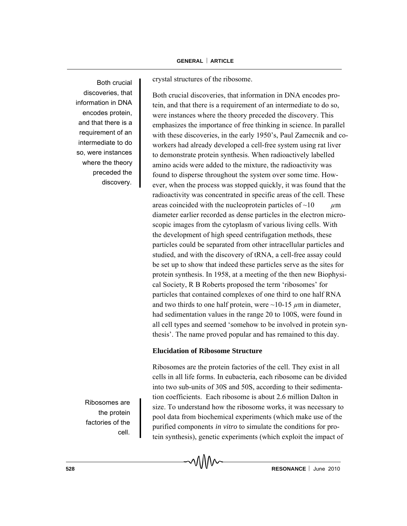Both crucial discoveries, that information in DNA encodes protein, and that there is a requirement of an intermediate to do so, were instances where the theory preceded the discovery.

> Ribosomes are the protein factories of the cell.

crystal structures of the ribosome.

Both crucial discoveries, that information in DNA encodes protein, and that there is a requirement of an intermediate to do so, were instances where the theory preceded the discovery. This emphasizes the importance of free thinking in science. In parallel with these discoveries, in the early 1950's, Paul Zamecnik and coworkers had already developed a cell-free system using rat liver to demonstrate protein synthesis. When radioactively labelled amino acids were added to the mixture, the radioactivity was found to disperse throughout the system over some time. However, when the process was stopped quickly, it was found that the radioactivity was concentrated in specific areas of the cell. These areas coincided with the nucleoprotein particles of  $\sim$ 10  $\mu$ m diameter earlier recorded as dense particles in the electron microscopic images from the cytoplasm of various living cells. With the development of high speed centrifugation methods, these particles could be separated from other intracellular particles and studied, and with the discovery of tRNA, a cell-free assay could be set up to show that indeed these particles serve as the sites for protein synthesis. In 1958, at a meeting of the then new Biophysical Society, R B Roberts proposed the term 'ribosomes' for particles that contained complexes of one third to one half RNA and two thirds to one half protein, were  $\sim$ 10-15  $\mu$ m in diameter, had sedimentation values in the range 20 to 100S, were found in all cell types and seemed 'somehow to be involved in protein synthesis'. The name proved popular and has remained to this day.

## **Elucidation of Ribosome Structure**

Ribosomes are the protein factories of the cell. They exist in all cells in all life forms. In eubacteria, each ribosome can be divided into two sub-units of 30S and 50S, according to their sedimentation coefficients. Each ribosome is about 2.6 million Dalton in size. To understand how the ribosome works, it was necessary to pool data from biochemical experiments (which make use of the purified components *in vitro* to simulate the conditions for protein synthesis), genetic experiments (which exploit the impact of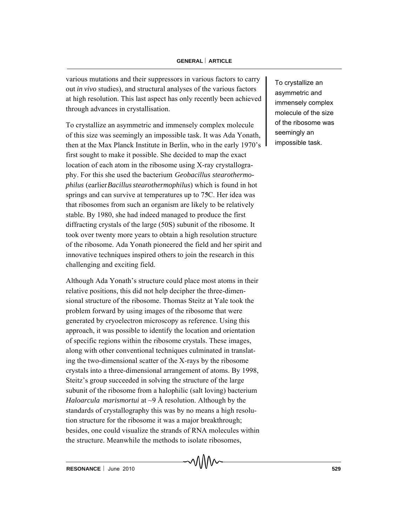various mutations and their suppressors in various factors to carry out *in vivo* studies), and structural analyses of the various factors at high resolution. This last aspect has only recently been achieved through advances in crystallisation.

To crystallize an asymmetric and immensely complex molecule of this size was seemingly an impossible task. It was Ada Yonath, then at the Max Planck Institute in Berlin, who in the early 1970's first sought to make it possible. She decided to map the exact location of each atom in the ribosome using X-ray crystallography. For this she used the bacterium *Geobacillus stearothermophilus* (earlier *Bacillus stearothermophilus*) which is found in hot springs and can survive at temperatures up to 75C. Her idea was that ribosomes from such an organism are likely to be relatively stable. By 1980, she had indeed managed to produce the first diffracting crystals of the large (50S) subunit of the ribosome. It took over twenty more years to obtain a high resolution structure of the ribosome. Ada Yonath pioneered the field and her spirit and innovative techniques inspired others to join the research in this challenging and exciting field.

Although Ada Yonath's structure could place most atoms in their relative positions, this did not help decipher the three-dimensional structure of the ribosome. Thomas Steitz at Yale took the problem forward by using images of the ribosome that were generated by cryoelectron microscopy as reference. Using this approach, it was possible to identify the location and orientation of specific regions within the ribosome crystals. These images, along with other conventional techniques culminated in translating the two-dimensional scatter of the X-rays by the ribosome crystals into a three-dimensional arrangement of atoms. By 1998, Steitz's group succeeded in solving the structure of the large subunit of the ribosome from a halophilic (salt loving) bacterium *Haloarcula marismortui* at ~9 Å resolution. Although by the standards of crystallography this was by no means a high resolution structure for the ribosome it was a major breakthrough; besides, one could visualize the strands of RNA molecules within the structure. Meanwhile the methods to isolate ribosomes,

៱៱៱៱៱

To crystallize an asymmetric and immensely complex molecule of the size of the ribosome was seemingly an impossible task.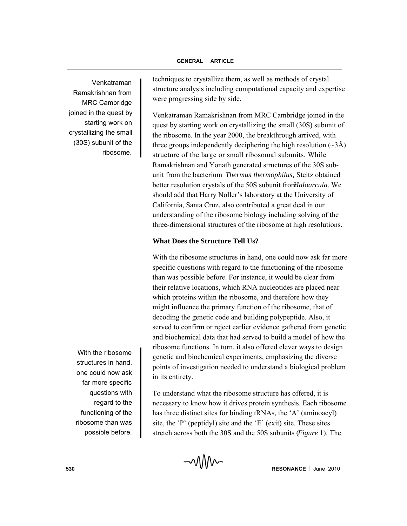Venkatraman Ramakrishnan from MRC Cambridge joined in the quest by starting work on crystallizing the small (30S) subunit of the ribosome.

techniques to crystallize them, as well as methods of crystal structure analysis including computational capacity and expertise were progressing side by side.

Venkatraman Ramakrishnan from MRC Cambridge joined in the quest by starting work on crystallizing the small (30S) subunit of the ribosome. In the year 2000, the breakthrough arrived, with three groups independently deciphering the high resolution  $(\sim 3\text{\AA})$ structure of the large or small ribosomal subunits. While Ramakrishnan and Yonath generated structures of the 30S subunit from the bacterium *Thermus thermophilus,* Steitz obtained better resolution crystals of the 50S subunit from *Haloarcula*. We should add that Harry Noller's laboratory at the University of California, Santa Cruz, also contributed a great deal in our understanding of the ribosome biology including solving of the three-dimensional structures of the ribosome at high resolutions.

## **What Does the Structure Tell Us?**

With the ribosome structures in hand, one could now ask far more specific questions with regard to the functioning of the ribosome than was possible before. For instance, it would be clear from their relative locations, which RNA nucleotides are placed near which proteins within the ribosome, and therefore how they might influence the primary function of the ribosome, that of decoding the genetic code and building polypeptide. Also, it served to confirm or reject earlier evidence gathered from genetic and biochemical data that had served to build a model of how the ribosome functions. In turn, it also offered clever ways to design genetic and biochemical experiments, emphasizing the diverse points of investigation needed to understand a biological problem in its entirety.

To understand what the ribosome structure has offered, it is necessary to know how it drives protein synthesis. Each ribosome has three distinct sites for binding tRNAs, the 'A' (aminoacyl) site, the 'P' (peptidyl) site and the 'E' (exit) site. These sites stretch across both the 30S and the 50S subunits (*Figure* 1). The

With the ribosome structures in hand, one could now ask far more specific questions with regard to the functioning of the ribosome than was possible before.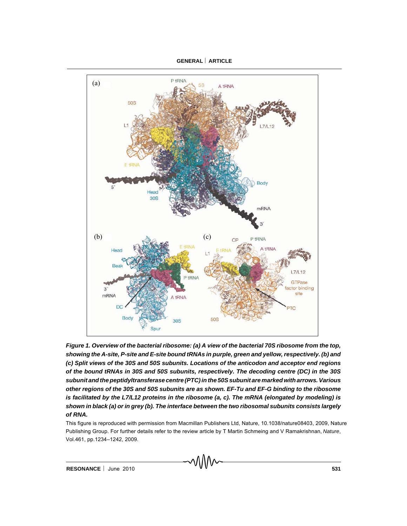**GENERAL ARTICLE**



*Figure 1. Overview of the bacterial ribosome: (a) A view of the bacterial 70S ribosome from the top, showing the A-site, P-site and E-site bound tRNAs in purple, green and yellow, respectively. (b) and (c) Split views of the 30S and 50S subunits. Locations of the anticodon and acceptor end regions of the bound tRNAs in 30S and 50S subunits, respectively. The decoding centre (DC) in the 30S subunit and the peptidyltransferase centre (PTC) in the 50S subunit are marked with arrows. Various other regions of the 30S and 50S subunits are as shown. EF-Tu and EF-G binding to the ribosome is facilitated by the L7/L12 proteins in the ribosome (a, c). The mRNA (elongated by modeling) is shown in black (a) or in grey (b). The interface between the two ribosomal subunits consists largely of RNA.*

This figure is reproduced with permission from Macmillan Publishers Ltd, Nature, 10.1038/nature08403, 2009, Nature Publishing Group. For further details refer to the review article by T Martin Schmeing and V Ramakrishnan, *Nature*, Vol.461, pp.1234–1242, 2009.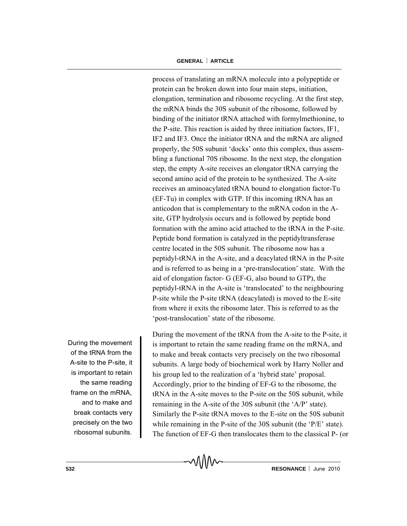process of translating an mRNA molecule into a polypeptide or protein can be broken down into four main steps, initiation, elongation, termination and ribosome recycling. At the first step, the mRNA binds the 30S subunit of the ribosome, followed by binding of the initiator tRNA attached with formylmethionine, to the P-site. This reaction is aided by three initiation factors, IF1, IF2 and IF3. Once the initiator tRNA and the mRNA are aligned properly, the 50S subunit 'docks' onto this complex, thus assembling a functional 70S ribosome. In the next step, the elongation step, the empty A-site receives an elongator tRNA carrying the second amino acid of the protein to be synthesized. The A-site receives an aminoacylated tRNA bound to elongation factor-Tu (EF-Tu) in complex with GTP. If this incoming tRNA has an anticodon that is complementary to the mRNA codon in the Asite, GTP hydrolysis occurs and is followed by peptide bond formation with the amino acid attached to the tRNA in the P-site. Peptide bond formation is catalyzed in the peptidyltransferase centre located in the 50S subunit. The ribosome now has a peptidyl-tRNA in the A-site, and a deacylated tRNA in the P-site and is referred to as being in a 'pre-translocation' state. With the aid of elongation factor- G (EF-G, also bound to GTP), the peptidyl-tRNA in the A-site is 'translocated' to the neighbouring P-site while the P-site tRNA (deacylated) is moved to the E-site from where it exits the ribosome later. This is referred to as the 'post-translocation' state of the ribosome.

During the movement of the tRNA from the A-site to the P-site, it is important to retain the same reading frame on the mRNA, and to make and break contacts very precisely on the two ribosomal subunits.

During the movement of the tRNA from the A-site to the P-site, it is important to retain the same reading frame on the mRNA, and to make and break contacts very precisely on the two ribosomal subunits. A large body of biochemical work by Harry Noller and his group led to the realization of a 'hybrid state' proposal. Accordingly, prior to the binding of EF-G to the ribosome, the tRNA in the A-site moves to the P-site on the 50S subunit, while remaining in the A-site of the 30S subunit (the 'A/P' state). Similarly the P-site tRNA moves to the E-site on the 50S subunit while remaining in the P-site of the 30S subunit (the 'P/E' state). The function of EF-G then translocates them to the classical P- (or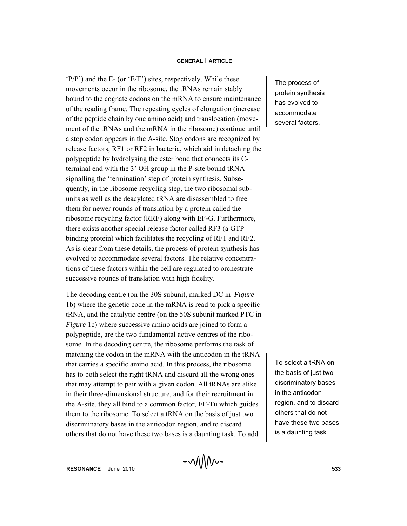'P/P') and the E- (or 'E/E') sites, respectively. While these movements occur in the ribosome, the tRNAs remain stably bound to the cognate codons on the mRNA to ensure maintenance of the reading frame. The repeating cycles of elongation (increase of the peptide chain by one amino acid) and translocation (movement of the tRNAs and the mRNA in the ribosome) continue until a stop codon appears in the A-site. Stop codons are recognized by release factors, RF1 or RF2 in bacteria, which aid in detaching the polypeptide by hydrolysing the ester bond that connects its Cterminal end with the 3' OH group in the P-site bound tRNA signalling the 'termination' step of protein synthesis. Subsequently, in the ribosome recycling step, the two ribosomal subunits as well as the deacylated tRNA are disassembled to free them for newer rounds of translation by a protein called the ribosome recycling factor (RRF) along with EF-G. Furthermore, there exists another special release factor called RF3 (a GTP binding protein) which facilitates the recycling of RF1 and RF2. As is clear from these details, the process of protein synthesis has evolved to accommodate several factors. The relative concentrations of these factors within the cell are regulated to orchestrate successive rounds of translation with high fidelity.

The decoding centre (on the 30S subunit, marked DC in *Figure* 1b) where the genetic code in the mRNA is read to pick a specific tRNA, and the catalytic centre (on the 50S subunit marked PTC in *Figure* 1c) where successive amino acids are joined to form a polypeptide, are the two fundamental active centres of the ribosome. In the decoding centre, the ribosome performs the task of matching the codon in the mRNA with the anticodon in the tRNA that carries a specific amino acid. In this process, the ribosome has to both select the right tRNA and discard all the wrong ones that may attempt to pair with a given codon. All tRNAs are alike in their three-dimensional structure, and for their recruitment in the A-site, they all bind to a common factor, EF-Tu which guides them to the ribosome. To select a tRNA on the basis of just two discriminatory bases in the anticodon region, and to discard others that do not have these two bases is a daunting task. To add

The process of protein synthesis has evolved to accommodate several factors.

To select a tRNA on the basis of just two discriminatory bases in the anticodon region, and to discard others that do not have these two bases is a daunting task.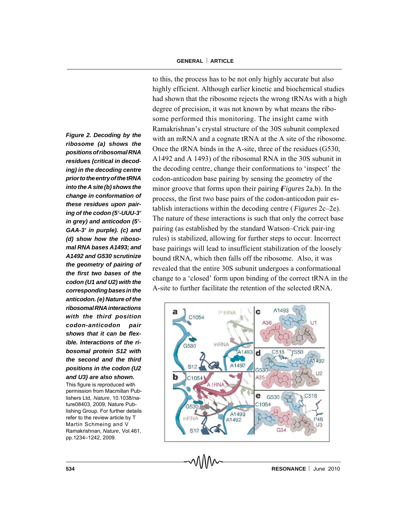*Figure 2. Decoding by the ribosome (a) shows the positions of ribosomal RNA residues (critical in decoding) in the decoding centre prior to the entry of the tRNA into the A site (b) shows the change in conformation of these residues upon pairing of the codon (5'-UUU-3' in grey) and anticodon (5'- GAA-3' in purple). (c) and (d) show how the ribosomal RNA bases A1493; and A1492 and G530 scrutinize the geometry of pairing of the first two bases of the codon (U1 and U2) with the corresponding bases in the anticodon. (e) Nature of the ribosomal RNA interactions with the third position codon-anticodon pair shows that it can be flexible. Interactions of the ribosomal protein S12 with the second and the third positions in the codon (U2 and U3) are also shown.*

This figure is reproduced with permission from Macmillan Publishers Ltd, *Nature*, 10.1038/nature08403, 2009, Nature Publishing Group. For further details refer to the review article by T Martin Schmeing and V Ramakrishnan, *Nature*, Vol.461, pp.1234–1242, 2009.

to this, the process has to be not only highly accurate but also highly efficient. Although earlier kinetic and biochemical studies had shown that the ribosome rejects the wrong tRNAs with a high degree of precision, it was not known by what means the ribosome performed this monitoring. The insight came with Ramakrishnan's crystal structure of the 30S subunit complexed with an mRNA and a cognate tRNA at the A site of the ribosome. Once the tRNA binds in the A-site, three of the residues (G530, A1492 and A 1493) of the ribosomal RNA in the 30S subunit in the decoding centre, change their conformations to 'inspect' the codon-anticodon base pairing by sensing the geometry of the minor groove that forms upon their pairing (*Figures* 2a,b). In the process, the first two base pairs of the codon-anticodon pair establish interactions within the decoding centre ( *Figures* 2c–2e). The nature of these interactions is such that only the correct base pairing (as established by the standard Watson–Crick pair-ing rules) is stabilized, allowing for further steps to occur. Incorrect base pairings will lead to insufficient stabilization of the loosely bound tRNA, which then falls off the ribosome. Also, it was revealed that the entire 30S subunit undergoes a conformational change to a 'closed' form upon binding of the correct tRNA in the A-site to further facilitate the retention of the selected tRNA.



**534 RESONANCE** June 2010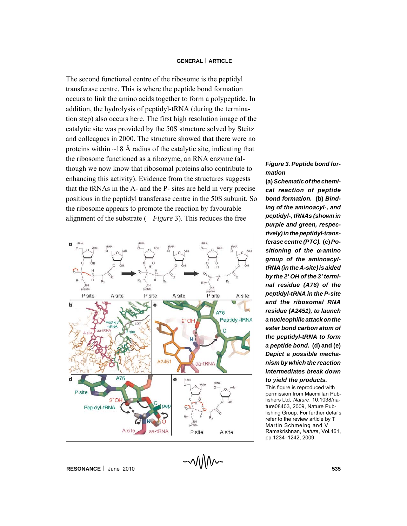The second functional centre of the ribosome is the peptidyl transferase centre. This is where the peptide bond formation occurs to link the amino acids together to form a polypeptide. In addition, the hydrolysis of peptidyl-tRNA (during the termination step) also occurs here. The first high resolution image of the catalytic site was provided by the 50S structure solved by Steitz and colleagues in 2000. The structure showed that there were no proteins within  $\sim$ 18 Å radius of the catalytic site, indicating that the ribosome functioned as a ribozyme, an RNA enzyme (although we now know that ribosomal proteins also contribute to enhancing this activity). Evidence from the structures suggests that the tRNAs in the A- and the P- sites are held in very precise positions in the peptidyl transferase centre in the 50S subunit. So the ribosome appears to promote the reaction by favourable alignment of the substrate ( *Figure* 3). This reduces the free



#### *Figure 3. Peptide bond formation*

**(a)** *Schematic of the chemical reaction of peptide bond formation.* **(b)** *Binding of the aminoacyl-, and peptidyl-, tRNAs (shown in purple and green, respectively) in the peptidyl-transferase centre (PTC).* **(c)** *Positioning of the -amino group of the aminoacyltRNA (in the A-site) is aided by the 2' OH of the 3' terminal residue (A76) of the peptidyl-tRNA in the P-site and the ribosomal RNA residue (A2451), to launch a nucleophilic attack on the ester bond carbon atom of the peptidyl-tRNA to form a peptide bond.* **(d) and (e)** *Depict a possible mechanism by which the reaction intermediates break down to yield the products.*

This figure is reproduced with permission from Macmillan Publishers Ltd, *Nature*, 10.1038/nature08403, 2009, Nature Publishing Group. For further details refer to the review article by T Martin Schmeing and V Ramakrishnan, *Nature*, Vol.461, pp.1234–1242, 2009.

**RESONANCE** | June 2010 **FOR SAMPLE 2010 FOR SAMPLE 2010 535**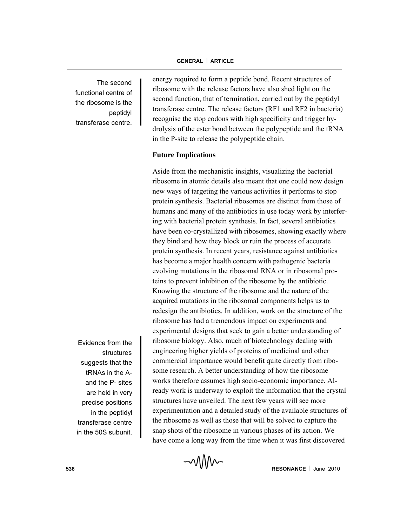The second functional centre of the ribosome is the peptidyl transferase centre.

Evidence from the structures suggests that the tRNAs in the Aand the P- sites are held in very precise positions in the peptidyl transferase centre in the 50S subunit.

energy required to form a peptide bond. Recent structures of ribosome with the release factors have also shed light on the second function, that of termination, carried out by the peptidyl transferase centre. The release factors (RF1 and RF2 in bacteria) recognise the stop codons with high specificity and trigger hydrolysis of the ester bond between the polypeptide and the tRNA in the P-site to release the polypeptide chain.

## **Future Implications**

Aside from the mechanistic insights, visualizing the bacterial ribosome in atomic details also meant that one could now design new ways of targeting the various activities it performs to stop protein synthesis. Bacterial ribosomes are distinct from those of humans and many of the antibiotics in use today work by interfering with bacterial protein synthesis. In fact, several antibiotics have been co-crystallized with ribosomes, showing exactly where they bind and how they block or ruin the process of accurate protein synthesis. In recent years, resistance against antibiotics has become a major health concern with pathogenic bacteria evolving mutations in the ribosomal RNA or in ribosomal proteins to prevent inhibition of the ribosome by the antibiotic. Knowing the structure of the ribosome and the nature of the acquired mutations in the ribosomal components helps us to redesign the antibiotics. In addition, work on the structure of the ribosome has had a tremendous impact on experiments and experimental designs that seek to gain a better understanding of ribosome biology. Also, much of biotechnology dealing with engineering higher yields of proteins of medicinal and other commercial importance would benefit quite directly from ribosome research. A better understanding of how the ribosome works therefore assumes high socio-economic importance. Already work is underway to exploit the information that the crystal structures have unveiled. The next few years will see more experimentation and a detailed study of the available structures of the ribosome as well as those that will be solved to capture the snap shots of the ribosome in various phases of its action. We have come a long way from the time when it was first discovered